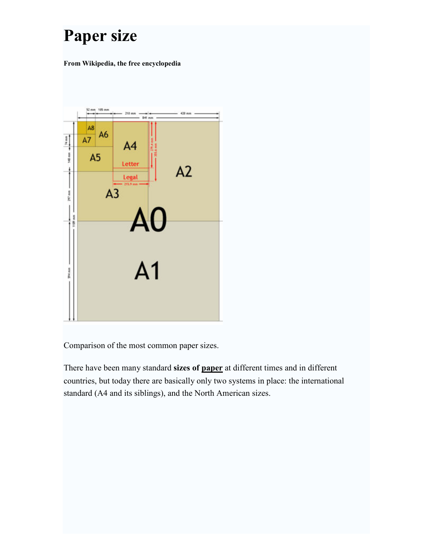# Paper size

From Wikipedia, the free encyclopedia



Comparison of the most common paper sizes.

There have been many standard sizes of paper at different times and in different countries, but today there are basically only two systems in place: the international standard (A4 and its siblings), and the North American sizes.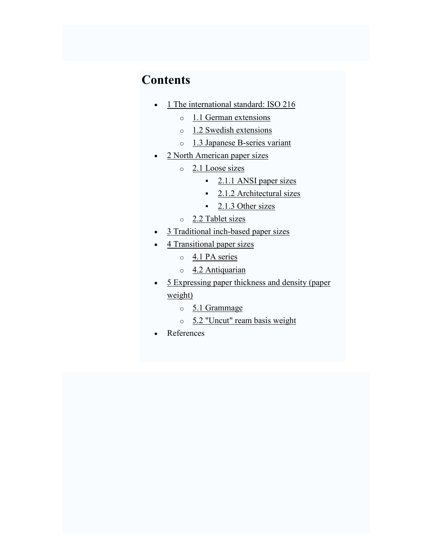# **Contents**

- 1 The international standard: ISO 216
	- o 1.1 German extensions
	- $\circ$  1.2 Swedish extensions
	- o 1.3 Japanese B-series variant
- 2 North American paper sizes
	- o 2.1 Loose sizes
		- $\frac{2.1.1 \text{ ANSI paper sizes}}{}$
		- $\frac{2.1.2 \text{ Architectural sizes}}{2.2 \text{ Architectural size}}$
		- $\blacksquare$  2.1.3 Other sizes
	- o 2.2 Tablet sizes
- 3 Traditional inch-based paper sizes
- 4 Transitional paper sizes
	- o 4.1 PA series
	- o 4.2 Antiquarian
- 5 Expressing paper thickness and density (paper weight)
	- o 5.1 Grammage
	- o 5.2 "Uncut" ream basis weight
- References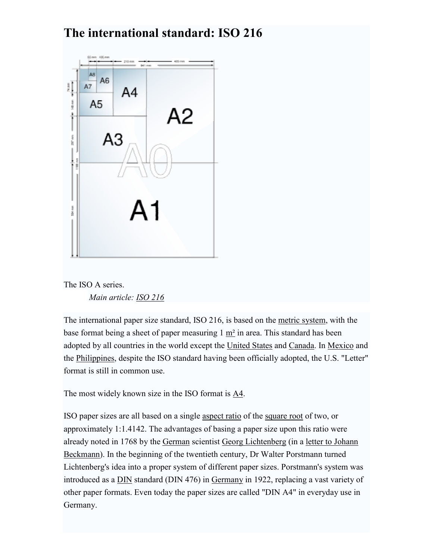# The international standard: ISO 216



The ISO A series. Main article: ISO 216

The international paper size standard, ISO 216, is based on the metric system, with the base format being a sheet of paper measuring  $1 \text{ m}^2$  in area. This standard has been adopted by all countries in the world except the United States and Canada. In Mexico and the Philippines, despite the ISO standard having been officially adopted, the U.S. "Letter" format is still in common use.

The most widely known size in the ISO format is A4.

ISO paper sizes are all based on a single aspect ratio of the square root of two, or approximately 1:1.4142. The advantages of basing a paper size upon this ratio were already noted in 1768 by the German scientist Georg Lichtenberg (in a letter to Johann Beckmann). In the beginning of the twentieth century, Dr Walter Porstmann turned Lichtenberg's idea into a proper system of different paper sizes. Porstmann's system was introduced as a DIN standard (DIN 476) in Germany in 1922, replacing a vast variety of other paper formats. Even today the paper sizes are called "DIN A4" in everyday use in Germany.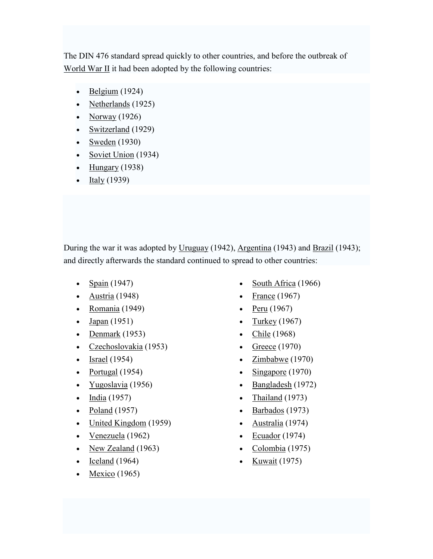The DIN 476 standard spread quickly to other countries, and before the outbreak of World War II it had been adopted by the following countries:

- $\bullet$  Belgium (1924)
- Netherlands (1925)
- Norway  $(1926)$
- Switzerland (1929)
- Sweden  $(1930)$
- Soviet Union  $(1934)$
- Hungary  $(1938)$
- Italy  $(1939)$

During the war it was adopted by Uruguay (1942), Argentina (1943) and Brazil (1943); and directly afterwards the standard continued to spread to other countries:

- Spain (1947)
- Austria  $(1948)$
- Romania (1949)
- Japan (1951)
- Denmark  $(1953)$
- Czechoslovakia (1953)
- Israel  $(1954)$
- Portugal (1954)
- Yugoslavia (1956)
- India (1957)
- Poland (1957)
- United Kingdom (1959)
- Venezuela (1962)
- New Zealand (1963)
- $\text{Iceland}$  (1964)
- Mexico  $(1965)$
- South Africa (1966)
- France  $(1967)$
- Peru  $(1967)$
- Turkey  $(1967)$
- Chile (1968)
- Greece  $(1970)$
- Zimbabwe (1970)
- Singapore (1970)
- Bangladesh (1972)
- Thailand (1973)
- Barbados (1973)
- Australia (1974)
- Ecuador  $(1974)$
- Colombia (1975)
- Kuwait  $(1975)$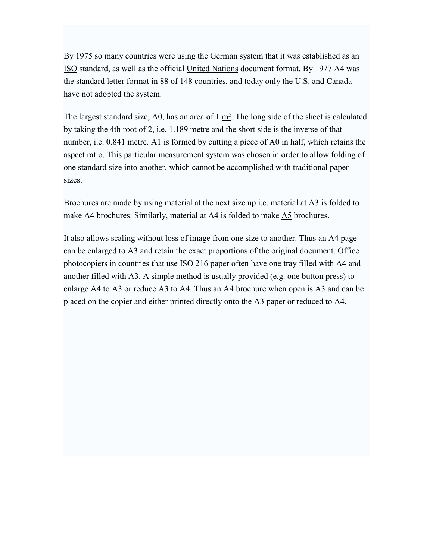By 1975 so many countries were using the German system that it was established as an ISO standard, as well as the official United Nations document format. By 1977 A4 was the standard letter format in 88 of 148 countries, and today only the U.S. and Canada have not adopted the system.

The largest standard size, A0, has an area of 1 m². The long side of the sheet is calculated by taking the 4th root of 2, i.e. 1.189 metre and the short side is the inverse of that number, i.e. 0.841 metre. A1 is formed by cutting a piece of A0 in half, which retains the aspect ratio. This particular measurement system was chosen in order to allow folding of one standard size into another, which cannot be accomplished with traditional paper sizes.

Brochures are made by using material at the next size up i.e. material at A3 is folded to make A4 brochures. Similarly, material at A4 is folded to make A5 brochures.

It also allows scaling without loss of image from one size to another. Thus an A4 page can be enlarged to A3 and retain the exact proportions of the original document. Office photocopiers in countries that use ISO 216 paper often have one tray filled with A4 and another filled with A3. A simple method is usually provided (e.g. one button press) to enlarge A4 to A3 or reduce A3 to A4. Thus an A4 brochure when open is A3 and can be placed on the copier and either printed directly onto the A3 paper or reduced to A4.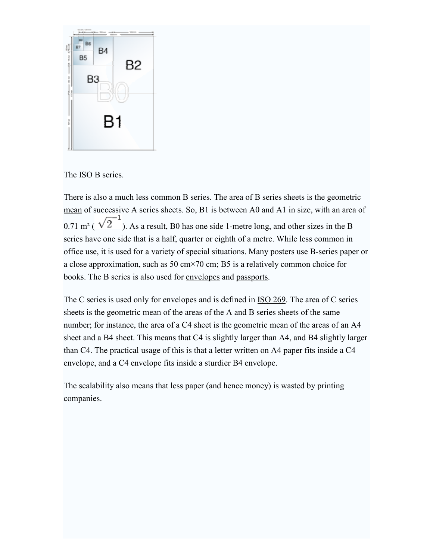

The ISO B series.

There is also a much less common B series. The area of B series sheets is the geometric mean of successive A series sheets. So, B1 is between A0 and A1 in size, with an area of 0.71 m<sup>2</sup> ( $\sqrt{2}^{-1}$ ). As a result, B0 has one side 1-metre long, and other sizes in the B series have one side that is a half, quarter or eighth of a metre. While less common in office use, it is used for a variety of special situations. Many posters use B-series paper or a close approximation, such as 50 cm×70 cm; B5 is a relatively common choice for books. The B series is also used for envelopes and passports.

The C series is used only for envelopes and is defined in ISO 269. The area of C series sheets is the geometric mean of the areas of the A and B series sheets of the same number; for instance, the area of a C4 sheet is the geometric mean of the areas of an A4 sheet and a B4 sheet. This means that C4 is slightly larger than A4, and B4 slightly larger than C4. The practical usage of this is that a letter written on A4 paper fits inside a C4 envelope, and a C4 envelope fits inside a sturdier B4 envelope.

The scalability also means that less paper (and hence money) is wasted by printing companies.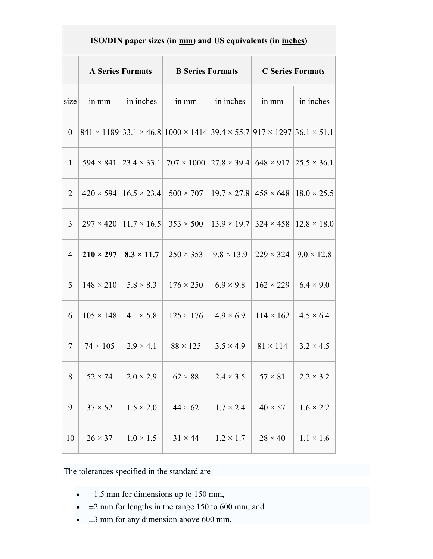### ISO/DIN paper sizes (in mm) and US equivalents (in inches)

|                  | <b>A Series Formats</b> |                  | <b>B</b> Series Formats                                                                                                |                                      | <b>C</b> Series Formats      |                   |
|------------------|-------------------------|------------------|------------------------------------------------------------------------------------------------------------------------|--------------------------------------|------------------------------|-------------------|
| size             | in mm                   | in inches        | in mm                                                                                                                  | in inches                            | in mm                        | in inches         |
| $\boldsymbol{0}$ |                         |                  | $841 \times 1189$ 33.1 $\times$ 46.8 1000 $\times$ 1414 39.4 $\times$ 55.7 917 $\times$ 1297 36.1 $\times$ 51.1        |                                      |                              |                   |
| $\mathbf{1}$     |                         |                  | $594 \times 841$   23.4 $\times$ 33.1   707 $\times$ 1000   27.8 $\times$ 39.4   648 $\times$ 917   25.5 $\times$ 36.1 |                                      |                              |                   |
| $\overline{2}$   |                         |                  | $420 \times 594$   $16.5 \times 23.4$   $500 \times 707$   $19.7 \times 27.8$   $458 \times 648$   $18.0 \times 25.5$  |                                      |                              |                   |
| 3                |                         |                  | $297 \times 420$  11.7 \times 16.5   353 \times 500  13.9 \times 19.7   324 \times 458  12.8 \times 18.0               |                                      |                              |                   |
| $\overline{4}$   | $210 \times 297$        |                  | $\vert 8.3 \times 11.7 \vert 250 \times 353 \vert$                                                                     | $9.8 \times 13.9$   229 $\times$ 324 |                              | $9.0 \times 12.8$ |
| 5                | $148 \times 210$        | $5.8 \times 8.3$ | $176 \times 250$                                                                                                       | $6.9 \times 9.8$                     | $\vert 162 \times 229 \vert$ | $6.4 \times 9.0$  |
| 6                | $105 \times 148$        | $4.1 \times 5.8$ | $125 \times 176$                                                                                                       | $4.9 \times 6.9$                     | $114 \times 162$             | $4.5 \times 6.4$  |
| $\overline{7}$   | $74 \times 105$         | $2.9 \times 4.1$ | $88 \times 125$                                                                                                        | $3.5 \times 4.9$                     | $81 \times 114$              | $3.2 \times 4.5$  |
| 8                | $52 \times 74$          | $2.0 \times 2.9$ | $62 \times 88$                                                                                                         | $2.4 \times 3.5$                     | $57 \times 81$               | $2.2 \times 3.2$  |
| 9                | $37 \times 52$          | $1.5 \times 2.0$ | $44 \times 62$                                                                                                         | $1.7 \times 2.4$                     | $40 \times 57$               | $1.6 \times 2.2$  |
| 10               | $26 \times 37$          | $1.0 \times 1.5$ | $31 \times 44$                                                                                                         | $1.2 \times 1.7$                     | $28 \times 40$               | $1.1 \times 1.6$  |

The tolerances specified in the standard are

- $\cdot$   $\pm 1.5$  mm for dimensions up to 150 mm,
- $\cdot$   $\pm 2$  mm for lengths in the range 150 to 600 mm, and
- $\cdot$   $\pm$ 3 mm for any dimension above 600 mm.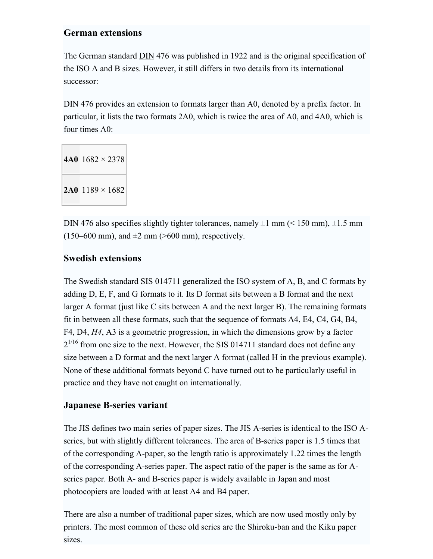#### German extensions

The German standard DIN 476 was published in 1922 and is the original specification of the ISO A and B sizes. However, it still differs in two details from its international successor:

DIN 476 provides an extension to formats larger than A0, denoted by a prefix factor. In particular, it lists the two formats 2A0, which is twice the area of A0, and 4A0, which is four times A0:

 $4A0$  1682  $\times$  2378  $2A0$  1189 × 1682

DIN 476 also specifies slightly tighter tolerances, namely  $\pm 1$  mm ( $\leq 150$  mm),  $\pm 1.5$  mm  $(150-600 \text{ mm})$ , and  $\pm 2 \text{ mm}$  (>600 mm), respectively.

#### Swedish extensions

The Swedish standard SIS 014711 generalized the ISO system of A, B, and C formats by adding D, E, F, and G formats to it. Its D format sits between a B format and the next larger A format (just like C sits between A and the next larger B). The remaining formats fit in between all these formats, such that the sequence of formats A4, E4, C4, G4, B4, F4, D4, H4, A3 is a geometric progression, in which the dimensions grow by a factor  $2^{1/16}$  from one size to the next. However, the SIS 014711 standard does not define any size between a D format and the next larger A format (called H in the previous example). None of these additional formats beyond C have turned out to be particularly useful in practice and they have not caught on internationally.

#### Japanese B-series variant

The JIS defines two main series of paper sizes. The JIS A-series is identical to the ISO Aseries, but with slightly different tolerances. The area of B-series paper is 1.5 times that of the corresponding A-paper, so the length ratio is approximately 1.22 times the length of the corresponding A-series paper. The aspect ratio of the paper is the same as for Aseries paper. Both A- and B-series paper is widely available in Japan and most photocopiers are loaded with at least A4 and B4 paper.

There are also a number of traditional paper sizes, which are now used mostly only by printers. The most common of these old series are the Shiroku-ban and the Kiku paper sizes.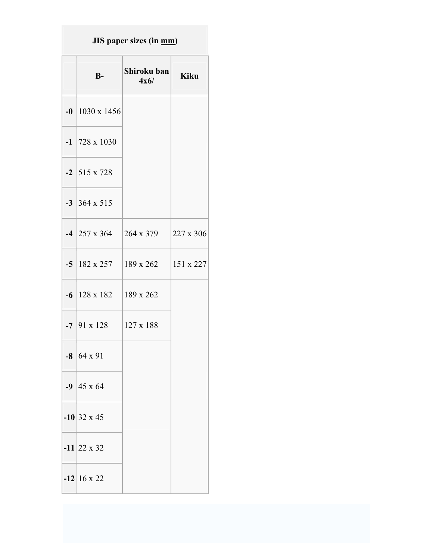## JIS paper sizes (in <u>mm</u>)

| $B-$                         | Shiroku ban<br>4x6/                      | <b>Kiku</b> |
|------------------------------|------------------------------------------|-------------|
| $-0$ 1030 x 1456             |                                          |             |
| $-1$   728 x 1030            |                                          |             |
| $-2$ 515 x 728               |                                          |             |
| $-3$ 364 x 515               |                                          |             |
|                              | $-4$ 257 x 364 264 x 379                 | 227 x 306   |
|                              | $-5$   182 x 257   189 x 262   151 x 227 |             |
| $-6$   128 x 182   189 x 262 |                                          |             |
| $-7$ 91 x 128 127 x 188      |                                          |             |
| $-8$ 64 x 91                 |                                          |             |
| $-9$ 45 x 64                 |                                          |             |
| $-10$ 32 x 45                |                                          |             |
| $-11$   22 x 32              |                                          |             |
| $-12$ 16 x 22                |                                          |             |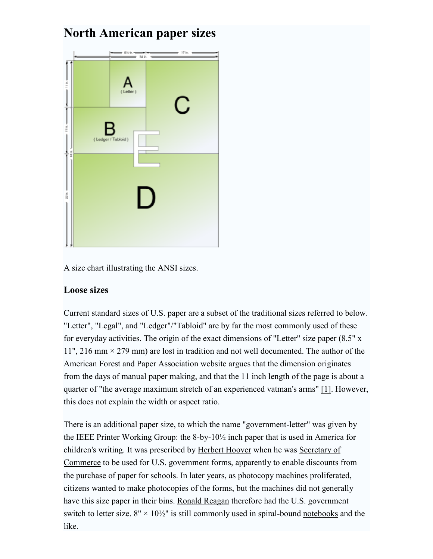## North American paper sizes



A size chart illustrating the ANSI sizes.

#### Loose sizes

Current standard sizes of U.S. paper are a subset of the traditional sizes referred to below. "Letter", "Legal", and "Ledger"/"Tabloid" are by far the most commonly used of these for everyday activities. The origin of the exact dimensions of "Letter" size paper (8.5" x 11", 216 mm  $\times$  279 mm) are lost in tradition and not well documented. The author of the American Forest and Paper Association website argues that the dimension originates from the days of manual paper making, and that the 11 inch length of the page is about a quarter of "the average maximum stretch of an experienced vatman's arms" [1]. However, this does not explain the width or aspect ratio.

There is an additional paper size, to which the name "government-letter" was given by the IEEE Printer Working Group: the 8-by-10½ inch paper that is used in America for children's writing. It was prescribed by Herbert Hoover when he was Secretary of Commerce to be used for U.S. government forms, apparently to enable discounts from the purchase of paper for schools. In later years, as photocopy machines proliferated, citizens wanted to make photocopies of the forms, but the machines did not generally have this size paper in their bins. Ronald Reagan therefore had the U.S. government switch to letter size.  $8'' \times 10\frac{1}{2}$  is still commonly used in spiral-bound notebooks and the like.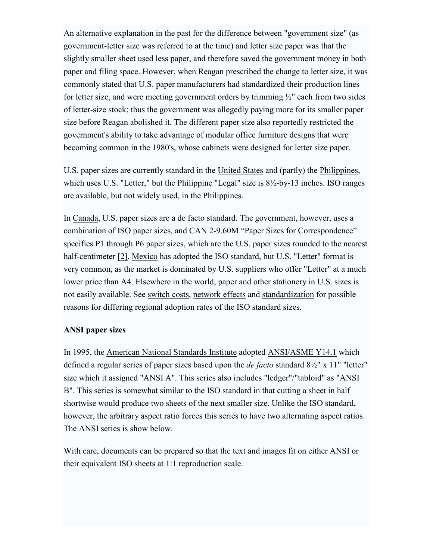An alternative explanation in the past for the difference between "government size" (as government-letter size was referred to at the time) and letter size paper was that the slightly smaller sheet used less paper, and therefore saved the government money in both paper and filing space. However, when Reagan prescribed the change to letter size, it was commonly stated that U.S. paper manufacturers had standardized their production lines for letter size, and were meeting government orders by trimming ½" each from two sides of letter-size stock; thus the government was allegedly paying more for its smaller paper size before Reagan abolished it. The different paper size also reportedly restricted the government's ability to take advantage of modular office furniture designs that were becoming common in the 1980's, whose cabinets were designed for letter size paper.

U.S. paper sizes are currently standard in the United States and (partly) the Philippines, which uses U.S. "Letter," but the Philippine "Legal" size is  $8\frac{1}{2}$ -by-13 inches. ISO ranges are available, but not widely used, in the Philippines.

In Canada, U.S. paper sizes are a de facto standard. The government, however, uses a combination of ISO paper sizes, and CAN 2-9.60M "Paper Sizes for Correspondence" specifies P1 through P6 paper sizes, which are the U.S. paper sizes rounded to the nearest half-centimeter [2]. Mexico has adopted the ISO standard, but U.S. "Letter" format is very common, as the market is dominated by U.S. suppliers who offer "Letter" at a much lower price than A4. Elsewhere in the world, paper and other stationery in U.S. sizes is not easily available. See switch costs, network effects and standardization for possible reasons for differing regional adoption rates of the ISO standard sizes.

#### ANSI paper sizes

In 1995, the American National Standards Institute adopted ANSI/ASME Y14.1 which defined a regular series of paper sizes based upon the *de facto* standard  $8\frac{1}{2}$ " x 11" "letter" size which it assigned "ANSI A". This series also includes "ledger"/"tabloid" as "ANSI B". This series is somewhat similar to the ISO standard in that cutting a sheet in half shortwise would produce two sheets of the next smaller size. Unlike the ISO standard, however, the arbitrary aspect ratio forces this series to have two alternating aspect ratios. The ANSI series is show below.

With care, documents can be prepared so that the text and images fit on either ANSI or their equivalent ISO sheets at 1:1 reproduction scale.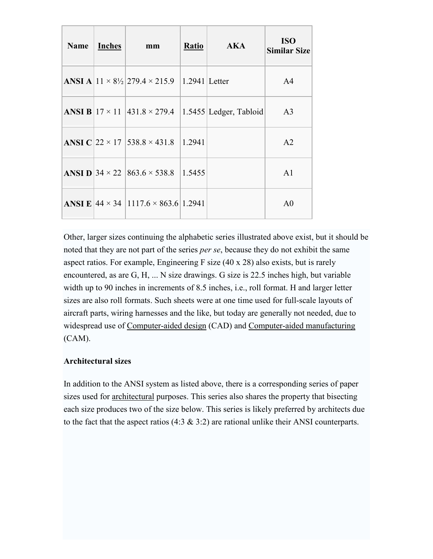| <b>Name</b> | Inches | mm                                                                          | <b>Ratio</b> | AKA                                                                        | <b>ISO</b><br><b>Similar Size</b> |
|-------------|--------|-----------------------------------------------------------------------------|--------------|----------------------------------------------------------------------------|-----------------------------------|
|             |        | <b>ANSI A</b> $ 11 \times 8\frac{1}{2} 279.4 \times 215.9$  1.2941   Letter |              |                                                                            | A <sup>4</sup>                    |
|             |        |                                                                             |              | <b>ANSI B</b> $ 17 \times 11 $ 431.8 $\times$ 279.4 1.5455 Ledger, Tabloid | A <sub>3</sub>                    |
|             |        | <b>ANSI C</b>   22 $\times$ 17   538.8 $\times$ 431.8   1.2941              |              |                                                                            | A <sub>2</sub>                    |
|             |        | <b>ANSI D</b> 34 $\times$ 22   863.6 $\times$ 538.8   1.5455                |              |                                                                            | A <sub>1</sub>                    |
|             |        | <b>ANSI E</b> $ 44 \times 34 $ 1117.6 $\times$ 863.6 1.2941                 |              |                                                                            | A0                                |

Other, larger sizes continuing the alphabetic series illustrated above exist, but it should be noted that they are not part of the series *per se*, because they do not exhibit the same aspect ratios. For example, Engineering F size (40 x 28) also exists, but is rarely encountered, as are G, H, ... N size drawings. G size is 22.5 inches high, but variable width up to 90 inches in increments of 8.5 inches, i.e., roll format. H and larger letter sizes are also roll formats. Such sheets were at one time used for full-scale layouts of aircraft parts, wiring harnesses and the like, but today are generally not needed, due to widespread use of Computer-aided design (CAD) and Computer-aided manufacturing (CAM).

#### Architectural sizes

In addition to the ANSI system as listed above, there is a corresponding series of paper sizes used for architectural purposes. This series also shares the property that bisecting each size produces two of the size below. This series is likely preferred by architects due to the fact that the aspect ratios  $(4.3 \& 3.2)$  are rational unlike their ANSI counterparts.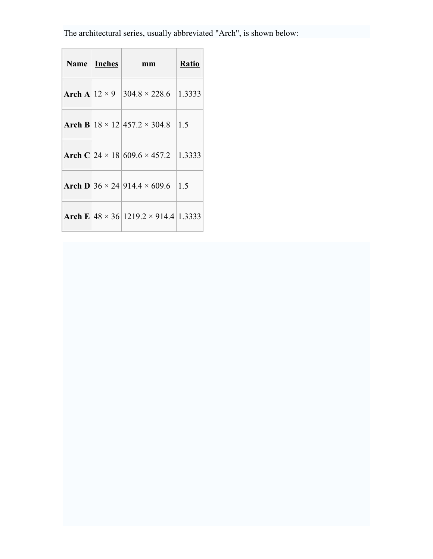The architectural series, usually abbreviated "Arch", is shown below:

| Name   Inches | mm                                                   | <b>Ratio</b> |
|---------------|------------------------------------------------------|--------------|
|               | Arch A $12 \times 9$ 304.8 $\times$ 228.6            | 1.3333       |
|               | Arch B $18 \times 12$   457.2 $\times$ 304.8         | 1.5          |
|               | Arch C $24 \times 18 609.6 \times 457.2 1.3333$      |              |
|               | <b>Arch D</b> 36 $\times$ 24 914.4 $\times$ 609.6    | 1.5          |
|               | Arch E $ 48 \times 36 $ 1219.2 $\times$ 914.4 1.3333 |              |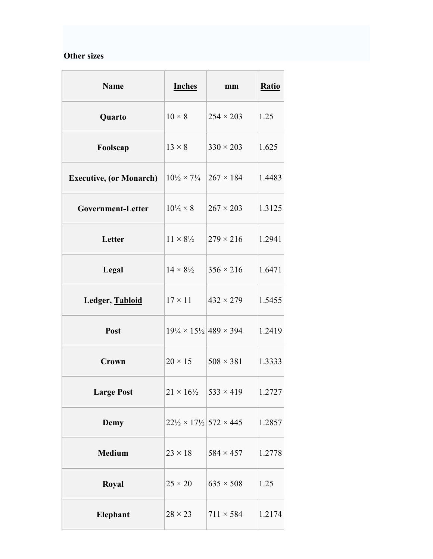#### Other sizes

| <b>Name</b>                    | <b>Inches</b>                                         | mm                                           | <b>Ratio</b> |
|--------------------------------|-------------------------------------------------------|----------------------------------------------|--------------|
| Quarto                         | $10 \times 8$                                         | $254 \times 203$                             | 1.25         |
| Foolscap                       | $13 \times 8$                                         | $330 \times 203$                             | 1.625        |
| <b>Executive, (or Monarch)</b> | $10\frac{1}{2} \times 7\frac{1}{4}$                   | $ 267 \times 184 $                           | 1.4483       |
| Government-Letter              | $10\frac{1}{2} \times 8$                              | $267 \times 203$                             | 1.3125       |
| Letter                         | $11 \times 8\frac{1}{2}$                              | $279 \times 216$                             | 1.2941       |
| Legal                          | $14 \times 8\frac{1}{2}$                              | $356 \times 216$                             | 1.6471       |
| Ledger, Tabloid                | $17 \times 11$                                        | $432 \times 279$                             | 1.5455       |
| Post                           | $19\frac{1}{4} \times 15\frac{1}{2}$ 489 × 394        |                                              | 1.2419       |
| Crown                          | $20 \times 15$                                        | $508 \times 381$                             | 1.3333       |
| <b>Large Post</b>              |                                                       | $21 \times 16\frac{1}{2}$   533 $\times$ 419 | 1.2727       |
| <b>Demy</b>                    | $22\frac{1}{2} \times 17\frac{1}{2}$ 572 $\times$ 445 |                                              | 1.2857       |
| <b>Medium</b>                  | $23 \times 18$                                        | $584 \times 457$                             | 1.2778       |
| Royal                          | $25 \times 20$                                        | $635 \times 508$                             | 1.25         |
| Elephant                       | $28 \times 23$                                        | $711 \times 584$                             | 1.2174       |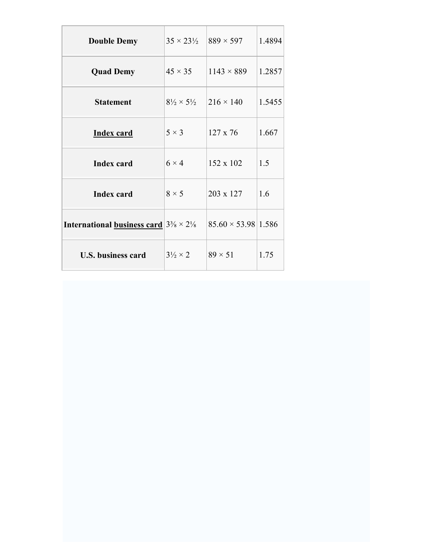| <b>Double Demy</b>                                                           | $35 \times 23\frac{1}{2}$          | $889 \times 597$                | 1.4894 |
|------------------------------------------------------------------------------|------------------------------------|---------------------------------|--------|
| <b>Quad Demy</b>                                                             | $45 \times 35$                     | $1143 \times 889$               | 1.2857 |
| <b>Statement</b>                                                             | $8\frac{1}{2} \times 5\frac{1}{2}$ | $216 \times 140$                | 1.5455 |
| <b>Index card</b>                                                            | $5 \times 3$                       | $127 \times 76$                 | 1.667  |
| <b>Index card</b>                                                            | $6 \times 4$                       | 152 x 102                       | 1.5    |
| <b>Index card</b>                                                            | $8 \times 5$                       | 203 x 127                       | 1.6    |
| <b>International <u>business card</u></b> $3\frac{3}{8} \times 2\frac{1}{8}$ |                                    | $85.60 \times 53.98 \mid 1.586$ |        |
| <b>U.S. business card</b>                                                    | $3\frac{1}{2} \times 2$            | $89 \times 51$                  | 1.75   |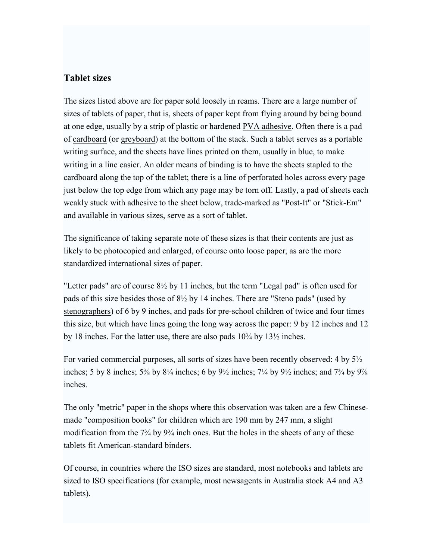#### Tablet sizes

The sizes listed above are for paper sold loosely in reams. There are a large number of sizes of tablets of paper, that is, sheets of paper kept from flying around by being bound at one edge, usually by a strip of plastic or hardened PVA adhesive. Often there is a pad of cardboard (or greyboard) at the bottom of the stack. Such a tablet serves as a portable writing surface, and the sheets have lines printed on them, usually in blue, to make writing in a line easier. An older means of binding is to have the sheets stapled to the cardboard along the top of the tablet; there is a line of perforated holes across every page just below the top edge from which any page may be torn off. Lastly, a pad of sheets each weakly stuck with adhesive to the sheet below, trade-marked as "Post-It" or "Stick-Em" and available in various sizes, serve as a sort of tablet.

The significance of taking separate note of these sizes is that their contents are just as likely to be photocopied and enlarged, of course onto loose paper, as are the more standardized international sizes of paper.

"Letter pads" are of course 8½ by 11 inches, but the term "Legal pad" is often used for pads of this size besides those of 8½ by 14 inches. There are "Steno pads" (used by stenographers) of 6 by 9 inches, and pads for pre-school children of twice and four times this size, but which have lines going the long way across the paper: 9 by 12 inches and 12 by 18 inches. For the latter use, there are also pads 10¾ by 13½ inches.

For varied commercial purposes, all sorts of sizes have been recently observed: 4 by 5½ inches; 5 by 8 inches;  $5\frac{3}{8}$  by  $8\frac{1}{4}$  inches; 6 by  $9\frac{1}{2}$  inches;  $7\frac{1}{4}$  by  $9\frac{1}{2}$  inches; and  $7\frac{3}{4}$  by  $9\frac{7}{8}$ inches.

The only "metric" paper in the shops where this observation was taken are a few Chinesemade "composition books" for children which are 190 mm by 247 mm, a slight modification from the  $7\frac{3}{4}$  by  $9\frac{3}{4}$  inch ones. But the holes in the sheets of any of these tablets fit American-standard binders.

Of course, in countries where the ISO sizes are standard, most notebooks and tablets are sized to ISO specifications (for example, most newsagents in Australia stock A4 and A3 tablets).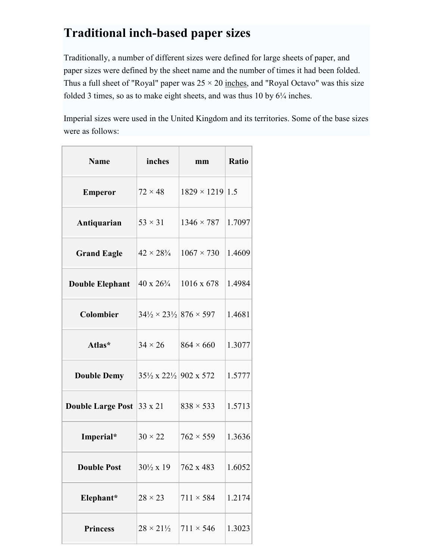# Traditional inch-based paper sizes

Traditionally, a number of different sizes were defined for large sheets of paper, and paper sizes were defined by the sheet name and the number of times it had been folded. Thus a full sheet of "Royal" paper was  $25 \times 20$  inches, and "Royal Octavo" was this size folded 3 times, so as to make eight sheets, and was thus 10 by 6¼ inches.

Imperial sizes were used in the United Kingdom and its territories. Some of the base sizes were as follows:

| <b>Name</b>                      | inches                                                                    | mm                     | <b>Ratio</b> |
|----------------------------------|---------------------------------------------------------------------------|------------------------|--------------|
| <b>Emperor</b>                   | $72 \times 48$                                                            | $1829 \times 1219$ 1.5 |              |
| Antiquarian                      | $53 \times 31$                                                            | $1346 \times 787$      | 1.7097       |
| <b>Grand Eagle</b>               | $42 \times 28\frac{3}{4}$                                                 | $1067 \times 730$      | 1.4609       |
| <b>Double Elephant</b>           | $40 \times 26\frac{3}{4}$                                                 | $1016 \times 678$      | 1.4984       |
| <b>Colombier</b>                 | $34\frac{1}{2} \times 23\frac{1}{2}   876 \times 597$                     |                        | 1.4681       |
| Atlas*                           | $34 \times 26$                                                            | $864 \times 660$       | 1.3077       |
| <b>Double Demy</b>               | 35 <sup>1</sup> / <sub>2</sub> x 22 <sup>1</sup> / <sub>2</sub> 902 x 572 |                        | 1.5777       |
| <b>Double Large Post 33 x 21</b> |                                                                           | $838 \times 533$       | 1.5713       |
| Imperial*                        | $30 \times 22$                                                            | $762 \times 559$       | 1.3636       |
| <b>Double Post</b>               | $30\frac{1}{2}$ x 19                                                      | 762 x 483              | 1.6052       |
| Elephant*                        | $28 \times 23$                                                            | $711 \times 584$       | 1.2174       |
| <b>Princess</b>                  | $28 \times 21\frac{1}{2}$                                                 | $711 \times 546$       | 1.3023       |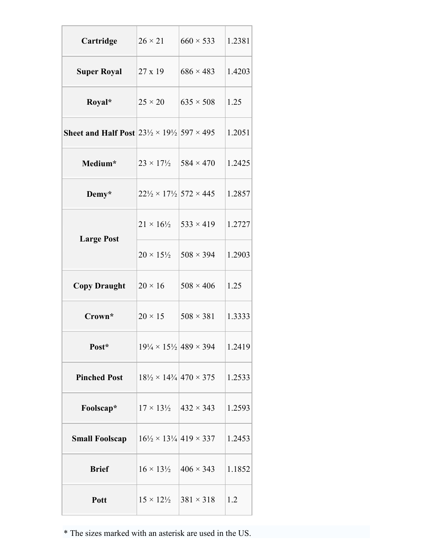| Cartridge                                                                       | $26 \times 21$                                 | $660 \times 533$                                      | 1.2381 |
|---------------------------------------------------------------------------------|------------------------------------------------|-------------------------------------------------------|--------|
| <b>Super Royal</b>                                                              | $27 \times 19$                                 | $686 \times 483$                                      | 1.4203 |
| Royal*                                                                          | $25 \times 20$                                 | $635 \times 508$                                      | 1.25   |
| <b>Sheet and Half Post</b> $ 23\frac{1}{2} \times 19\frac{1}{2} 597 \times 495$ |                                                |                                                       | 1.2051 |
| Medium*                                                                         | $23 \times 17\frac{1}{2}$   584 $\times$ 470   |                                                       | 1.2425 |
| Demy*                                                                           | $22\frac{1}{2} \times 17\frac{1}{2}$ 572 × 445 |                                                       | 1.2857 |
| <b>Large Post</b>                                                               | $21 \times 16\frac{1}{2}$                      | $533 \times 419$                                      | 1.2727 |
|                                                                                 | $20 \times 15\frac{1}{2}$                      | $508 \times 394$                                      | 1.2903 |
| <b>Copy Draught</b>                                                             | $20 \times 16$                                 | $508 \times 406$                                      | 1.25   |
| Crown*                                                                          | $20 \times 15$                                 | $508 \times 381$                                      | 1.3333 |
| Post*                                                                           |                                                | $19\frac{1}{4} \times 15\frac{1}{2}$ 489 $\times$ 394 | 1.2419 |
| <b>Pinched Post</b>                                                             |                                                | $18\frac{1}{2} \times 14\frac{3}{4}$ 470 $\times$ 375 | 1.2533 |
| Foolscap*                                                                       | $17 \times 13\frac{1}{2}$  432 $\times$ 343    |                                                       | 1.2593 |
| <b>Small Foolscap</b>                                                           |                                                | $16\frac{1}{2} \times 13\frac{1}{4}$ 419 $\times$ 337 | 1.2453 |
| <b>Brief</b>                                                                    | $16 \times 13\frac{1}{2}$                      | $406 \times 343$                                      | 1.1852 |
| Pott                                                                            | $15 \times 12\frac{1}{2}$                      | $381 \times 318$                                      | 1.2    |

\* The sizes marked with an asterisk are used in the US.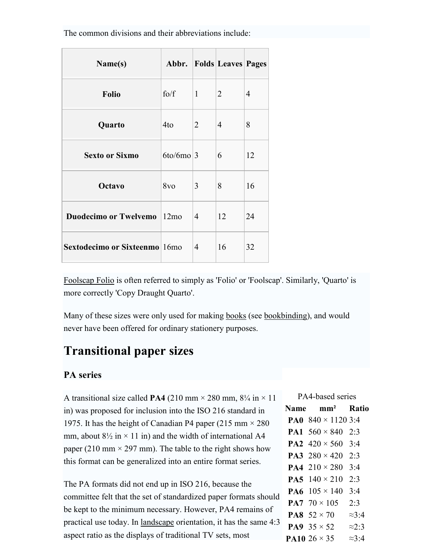The common divisions and their abbreviations include:

| Name(s)                              |                 |                | Abbr.   Folds   Leaves   Pages |    |
|--------------------------------------|-----------------|----------------|--------------------------------|----|
| <b>Folio</b>                         | $f_0/f$         | $\mathbf{1}$   | $\overline{2}$                 | 4  |
| Quarto                               | 4to             | $\overline{2}$ | $\overline{4}$                 | 8  |
| <b>Sexto or Sixmo</b>                | $6$ to/6mo 3    |                | 6                              | 12 |
| <b>Octavo</b>                        | 8v <sub>0</sub> | 3              | 8                              | 16 |
| <b>Duodecimo or Twelvemo</b> 12mo    |                 | 4              | 12                             | 24 |
| <b>Sextodecimo or Sixteenmo</b> 16mo |                 | 4              | 16                             | 32 |

Foolscap Folio is often referred to simply as 'Folio' or 'Foolscap'. Similarly, 'Quarto' is more correctly 'Copy Draught Quarto'.

Many of these sizes were only used for making books (see bookbinding), and would never have been offered for ordinary stationery purposes.

### Transitional paper sizes

#### PA series

A transitional size called **PA4** (210 mm  $\times$  280 mm, 8<sup>1</sup>/4 in  $\times$  11 in) was proposed for inclusion into the ISO 216 standard in 1975. It has the height of Canadian P4 paper (215 mm  $\times$  280 mm, about  $8\frac{1}{2}$  in  $\times$  11 in) and the width of international A4 paper (210 mm  $\times$  297 mm). The table to the right shows how this format can be generalized into an entire format series.

The PA formats did not end up in ISO 216, because the committee felt that the set of standardized paper formats should be kept to the minimum necessary. However, PA4 remains of practical use today. In landscape orientation, it has the same 4:3 aspect ratio as the displays of traditional TV sets, most

PA4-based series Name mm² Ratio **PA0**  $840 \times 11203:4$ **PA1**  $560 \times 840$  2:3 **PA2**  $420 \times 560$  3:4 **PA3**  $280 \times 420$  2:3 **PA4**  $210 \times 280$  3:4 **PA5**  $140 \times 210$  2:3 **PA6**  $105 \times 140$  3:4 **PA7**  $70 \times 105$  2:3 **PA8**  $52 \times 70 \approx 3:4$ PA9  $35 \times 52$   $\approx 2:3$ **PA10** 26  $\times$  35  $\approx$  3:4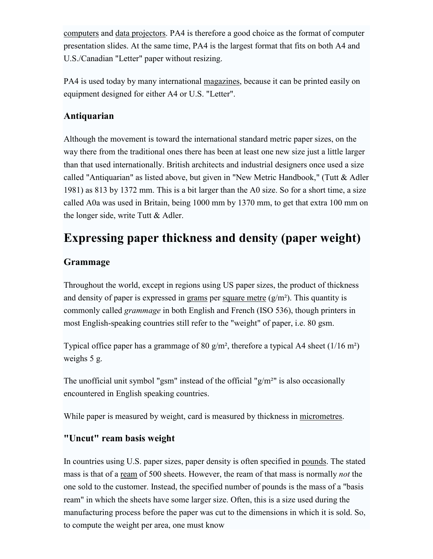computers and data projectors. PA4 is therefore a good choice as the format of computer presentation slides. At the same time, PA4 is the largest format that fits on both A4 and U.S./Canadian "Letter" paper without resizing.

PA4 is used today by many international magazines, because it can be printed easily on equipment designed for either A4 or U.S. "Letter".

### Antiquarian

Although the movement is toward the international standard metric paper sizes, on the way there from the traditional ones there has been at least one new size just a little larger than that used internationally. British architects and industrial designers once used a size called "Antiquarian" as listed above, but given in "New Metric Handbook," (Tutt & Adler 1981) as 813 by 1372 mm. This is a bit larger than the A0 size. So for a short time, a size called A0a was used in Britain, being 1000 mm by 1370 mm, to get that extra 100 mm on the longer side, write Tutt & Adler.

# Expressing paper thickness and density (paper weight)

### Grammage

Throughout the world, except in regions using US paper sizes, the product of thickness and density of paper is expressed in grams per square metre  $(g/m<sup>2</sup>)$ . This quantity is commonly called grammage in both English and French (ISO 536), though printers in most English-speaking countries still refer to the "weight" of paper, i.e. 80 gsm.

Typical office paper has a grammage of 80 g/m<sup>2</sup>, therefore a typical A4 sheet  $(1/16 \text{ m}^2)$ weighs 5 g.

The unofficial unit symbol "gsm" instead of the official " $g/m<sup>2</sup>$ " is also occasionally encountered in English speaking countries.

While paper is measured by weight, card is measured by thickness in micrometres.

### "Uncut" ream basis weight

In countries using U.S. paper sizes, paper density is often specified in pounds. The stated mass is that of a ream of 500 sheets. However, the ream of that mass is normally *not* the one sold to the customer. Instead, the specified number of pounds is the mass of a "basis ream" in which the sheets have some larger size. Often, this is a size used during the manufacturing process before the paper was cut to the dimensions in which it is sold. So, to compute the weight per area, one must know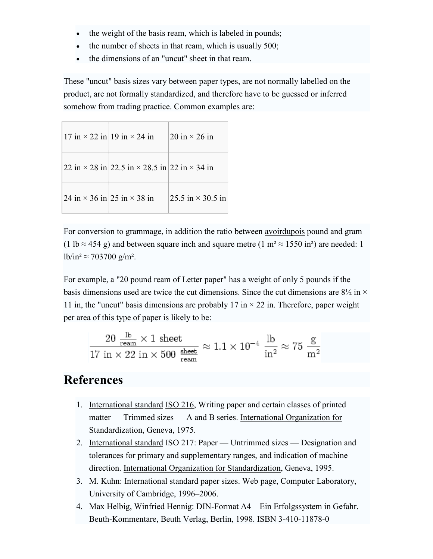- the weight of the basis ream, which is labeled in pounds;
- the number of sheets in that ream, which is usually  $500$ ;
- the dimensions of an "uncut" sheet in that ream.

These "uncut" basis sizes vary between paper types, are not normally labelled on the product, are not formally standardized, and therefore have to be guessed or inferred somehow from trading practice. Common examples are:

| $17 \text{ in} \times 22 \text{ in} \mid 19 \text{ in} \times 24 \text{ in}$ | 20 in $\times$ 26 in     |
|------------------------------------------------------------------------------|--------------------------|
| 22 in $\times$ 28 in 22.5 in $\times$ 28.5 in 22 in $\times$ 34 in           |                          |
| 24 in $\times$ 36 in 25 in $\times$ 38 in                                    | 25.5 in $\times$ 30.5 in |

For conversion to grammage, in addition the ratio between avoirdupois pound and gram (1 lb  $\approx$  454 g) and between square inch and square metre (1 m<sup>2</sup>  $\approx$  1550 in<sup>2</sup>) are needed: 1 lb/in<sup>2</sup> ≈ 703700 g/m<sup>2</sup>.

For example, a "20 pound ream of Letter paper" has a weight of only 5 pounds if the basis dimensions used are twice the cut dimensions. Since the cut dimensions are  $8\frac{1}{2}$  in  $\times$ 11 in, the "uncut" basis dimensions are probably 17 in  $\times$  22 in. Therefore, paper weight per area of this type of paper is likely to be:

$$
\frac{20 \frac{\text{lb}}{\text{ream}} \times 1 \text{ sheet}}{17 \text{ in} \times 22 \text{ in} \times 500 \frac{\text{sheet}}{\text{ream}}} \approx 1.1 \times 10^{-4} \frac{\text{lb}}{\text{in}^2} \approx 75 \frac{\text{g}}{\text{m}^2}
$$

### References

- 1. International standard ISO 216, Writing paper and certain classes of printed matter — Trimmed sizes — A and B series. International Organization for Standardization, Geneva, 1975.
- 2. International standard ISO 217: Paper Untrimmed sizes Designation and tolerances for primary and supplementary ranges, and indication of machine direction. International Organization for Standardization, Geneva, 1995.
- 3. M. Kuhn: International standard paper sizes. Web page, Computer Laboratory, University of Cambridge, 1996–2006.
- 4. Max Helbig, Winfried Hennig: DIN-Format A4 Ein Erfolgssystem in Gefahr. Beuth-Kommentare, Beuth Verlag, Berlin, 1998. ISBN 3-410-11878-0